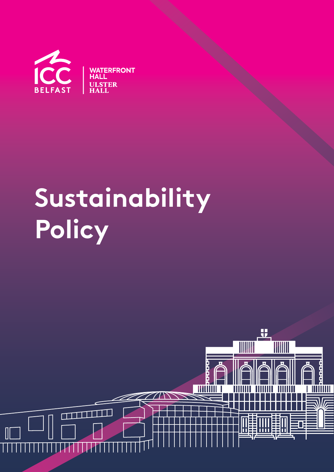

# **Sustainability Policy**

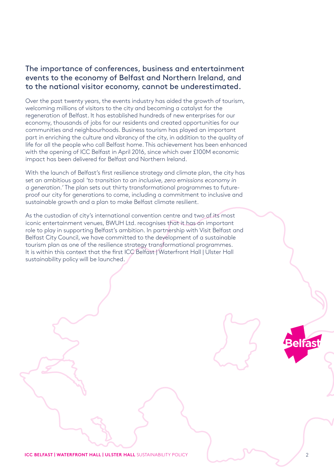## The importance of conferences, business and entertainment events to the economy of Belfast and Northern Ireland, and to the national visitor economy, cannot be underestimated.

Over the past twenty years, the events industry has aided the growth of tourism, welcoming millions of visitors to the city and becoming a catalyst for the regeneration of Belfast. It has established hundreds of new enterprises for our economy, thousands of jobs for our residents and created opportunities for our communities and neighbourhoods. Business tourism has played an important part in enriching the culture and vibrancy of the city, in addition to the quality of life for all the people who call Belfast home. This achievement has been enhanced with the opening of ICC Belfast in April 2016, since which over £100M economic impact has been delivered for Belfast and Northern Ireland.

With the launch of Belfast's first resilience strategy and climate plan, the city has set an ambitious goal 'to transition to an inclusive, zero emissions economy in a generation.' The plan sets out thirty transformational programmes to futureproof our city for generations to come, including a commitment to inclusive and sustainable growth and a plan to make Belfast climate resilient.

As the custodian of city's international convention centre and two of its most iconic entertainment venues, BWUH Ltd. recognises that it has an important role to play in supporting Belfast's ambition. In partnership with Visit Belfast and Belfast City Council, we have committed to the development of a sustainable tourism plan as one of the resilience strategy transformational programmes. It is within this context that the first ICC Belfast | Waterfront Hall | Ulster Hall sustainability policy will be launched.

**Belfas** 

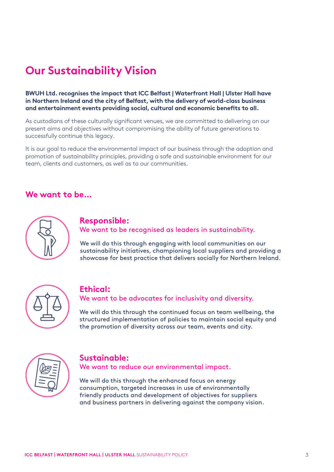# **Our Sustainability Vision**

**BWUH Ltd. recognises the impact that ICC Belfast | Waterfront Hall | Ulster Hall have in Northern Ireland and the city of Belfast, with the delivery of world-class business and entertainment events providing social, cultural and economic benefits to all.**

As custodians of these culturally significant venues, we are committed to delivering on our present aims and objectives without compromising the ability of future generations to successfully continue this legacy.

It is our goal to reduce the environmental impact of our business through the adoption and promotion of sustainability principles, providing a safe and sustainable environment for our team, clients and customers, as well as to our communities.

## **We want to be…**



#### **Responsible:**  We want to be recognised as leaders in sustainability.

We will do this through engaging with local communities on our sustainability initiatives, championing local suppliers and providing a showcase for best practice that delivers socially for Northern Ireland.



## **Ethical:**

We want to be advocates for inclusivity and diversity.

We will do this through the continued focus on team wellbeing, the structured implementation of policies to maintain social equity and the promotion of diversity across our team, events and city.



## **Sustainable:**

We want to reduce our environmental impact.

We will do this through the enhanced focus on energy consumption, targeted increases in use of environmentally friendly products and development of objectives for suppliers and business partners in delivering against the company vision.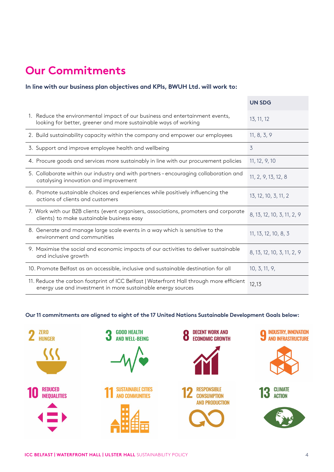# **Our Commitments**

#### **In line with our business plan objectives and KPIs, BWUH Ltd. will work to:**

|                                                                                                                                                         | <b>UN SDG</b>              |
|---------------------------------------------------------------------------------------------------------------------------------------------------------|----------------------------|
| 1. Reduce the environmental impact of our business and entertainment events,<br>looking for better, greener and more sustainable ways of working        | 13, 11, 12                 |
| 2. Build sustainability capacity within the company and empower our employees                                                                           | 11, 8, 3, 9                |
| 3. Support and improve employee health and wellbeing                                                                                                    | 3                          |
| 4. Procure goods and services more sustainably in line with our procurement policies                                                                    | 11, 12, 9, 10              |
| 5. Collaborate within our industry and with partners-encouraging collaboration and<br>catalysing innovation and improvement                             | 11, 2, 9, 13, 12, 8        |
| 6. Promote sustainable choices and experiences while positively influencing the<br>actions of clients and customers                                     | 13, 12, 10, 3, 11, 2       |
| 7. Work with our B2B clients (event organisers, associations, promoters and corporate<br>clients) to make sustainable business easy                     | 8, 13, 12, 10, 3, 11, 2, 9 |
| 8. Generate and manage large scale events in a way which is sensitive to the<br>environment and communities                                             | 11, 13, 12, 10, 8, 3       |
| 9. Maximise the social and economic impacts of our activities to deliver sustainable<br>and inclusive growth                                            | 8, 13, 12, 10, 3, 11, 2, 9 |
| 10. Promote Belfast as an accessible, inclusive and sustainable destination for all                                                                     | 10, 3, 11, 9,              |
| 11. Reduce the carbon footprint of ICC Belfast   Waterfront Hall through more efficient<br>energy use and investment in more sustainable energy sources | 12,13                      |

#### **Our 11 commitments are aligned to eight of the 17 United Nations Sustainable Development Goals below:**

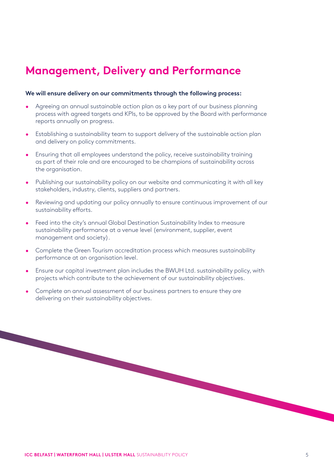# **Management, Delivery and Performance**

#### **We will ensure delivery on our commitments through the following process:**

- Agreeing an annual sustainable action plan as a key part of our business planning process with agreed targets and KPIs, to be approved by the Board with performance reports annually on progress.
- Establishing a sustainability team to support delivery of the sustainable action plan and delivery on policy commitments.
- Ensuring that all employees understand the policy, receive sustainability training as part of their role and are encouraged to be champions of sustainability across the organisation.
- Publishing our sustainability policy on our website and communicating it with all key stakeholders, industry, clients, suppliers and partners.
- Reviewing and updating our policy annually to ensure continuous improvement of our sustainability efforts.
- Feed into the city's annual Global Destination Sustainability Index to measure sustainability performance at a venue level (environment, supplier, event management and society).
- Complete the Green Tourism accreditation process which measures sustainability performance at an organisation level.
- Ensure our capital investment plan includes the BWUH Ltd. sustainability policy, with projects which contribute to the achievement of our sustainability objectives.
- Complete an annual assessment of our business partners to ensure they are delivering on their sustainability objectives.